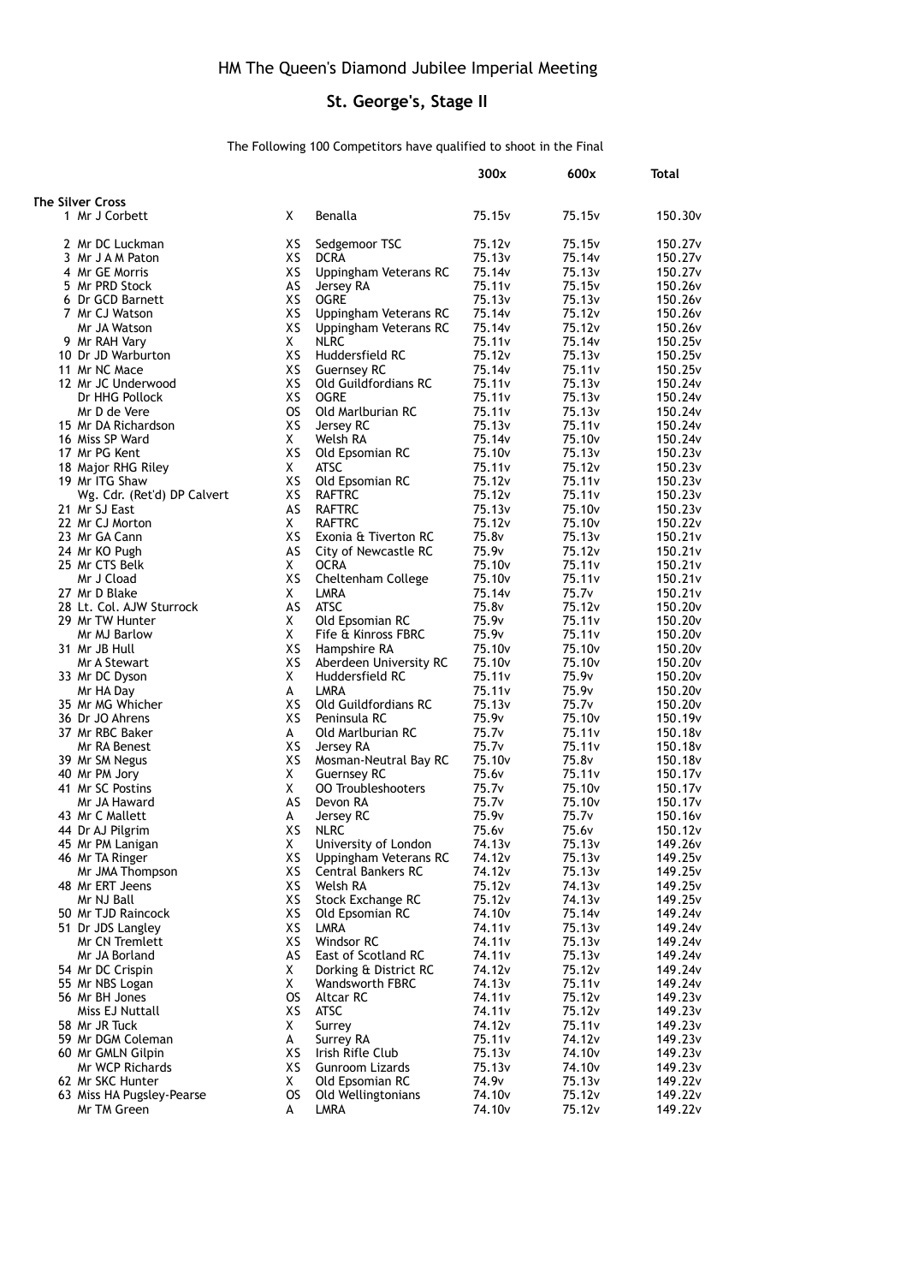## **St. George's, Stage II**

## The Following 100 Competitors have qualified to shoot in the Final

|                                    |           |                                     | 300x                                     | 600x                         | Total               |
|------------------------------------|-----------|-------------------------------------|------------------------------------------|------------------------------|---------------------|
|                                    |           |                                     |                                          |                              |                     |
| <b>The Silver Cross</b>            |           |                                     |                                          |                              |                     |
| 1 Mr J Corbett                     | X         | Benalla                             | 75.15v                                   | 75.15 <sub>v</sub>           | 150.30 <sub>v</sub> |
|                                    |           |                                     |                                          |                              |                     |
| 2 Mr DC Luckman                    | ХS        | Sedgemoor TSC                       | 75.12v                                   | 75.15v                       | 150.27 <sub>v</sub> |
| 3 Mr J A M Paton                   | XS        | <b>DCRA</b>                         | 75.13 <sub>v</sub>                       | 75.14v                       | 150.27 <sub>v</sub> |
| 4 Mr GE Morris                     | XS        | Uppingham Veterans RC               | 75.14v                                   | 75.13v                       | 150.27 <sub>v</sub> |
| 5 Mr PRD Stock                     | AS        | Jersey RA                           | 75.11 <sub>v</sub>                       | 75.15v                       | 150.26v             |
| 6 Dr GCD Barnett                   | XS        | <b>OGRE</b>                         | 75.13 <sub>v</sub>                       | 75.13v                       | 150.26v             |
| 7 Mr CJ Watson                     | XS        | Uppingham Veterans RC               | 75.14v                                   | 75.12v                       | 150.26v             |
| Mr JA Watson                       | XS        | Uppingham Veterans RC               | 75.14 <sub>v</sub>                       | 75.12v                       | 150.26v             |
| 9 Mr RAH Vary                      | X.        | <b>NLRC</b>                         | 75.11 <sub>v</sub>                       | 75.14v                       | 150.25v             |
| 10 Dr JD Warburton                 | XS        | Huddersfield RC                     | 75.12v                                   | 75.13v                       | 150.25v             |
| 11 Mr NC Mace                      | XS        | <b>Guernsey RC</b>                  | 75.14v                                   | 75.11 <sub>v</sub>           | 150.25v             |
| 12 Mr JC Underwood                 | XS        | <b>Old Guildfordians RC</b>         | 75.11 <sub>v</sub>                       | 75.13v                       | 150.24v             |
| Dr HHG Pollock                     | XS        | <b>OGRE</b>                         | 75.11 <sub>v</sub>                       | 75.13v                       | 150.24v             |
| Mr D de Vere                       | <b>OS</b> | Old Marlburian RC                   | 75.11 <sub>v</sub>                       | 75.13v                       | 150.24v             |
| 15 Mr DA Richardson                | ΧS        | Jersey RC                           | 75.13v                                   | 75.11 <sub>v</sub>           | 150.24v             |
| 16 Miss SP Ward                    | X.        | Welsh RA                            | 75.14v                                   | 75.10 <sub>v</sub>           | 150.24v             |
| 17 Mr PG Kent                      | XS        | Old Epsomian RC                     | 75.10 <sub>v</sub>                       | 75.13v                       | 150.23v             |
| 18 Major RHG Riley                 | X         | ATSC                                | 75.11 <sub>v</sub>                       | 75.12 <sub>v</sub>           | 150.23v             |
| 19 Mr ITG Shaw                     | XS        | Old Epsomian RC                     | 75.12v                                   | 75.11 <sub>v</sub>           | 150.23v             |
| Wg. Cdr. (Ret'd) DP Calvert        | ХS        | <b>RAFTRC</b>                       | 75.12v                                   | 75.11 <sub>v</sub>           | 150.23v             |
| 21 Mr SJ East                      | AS        | <b>RAFTRC</b>                       | 75.13v                                   | 75.10 <sub>v</sub>           | 150.23v             |
| 22 Mr CJ Morton                    | X.        | <b>RAFTRC</b>                       | 75.12v                                   | 75.10 <sub>v</sub>           | 150.22v             |
| 23 Mr GA Cann                      | ХS        | Exonia & Tiverton RC                | 75.8v                                    | 75.13v                       | 150.21v             |
| 24 Mr KO Pugh                      | AS        | City of Newcastle RC                | 75.9v                                    | 75.12v                       | 150.21v             |
| 25 Mr CTS Belk                     | X         | <b>OCRA</b>                         | 75.10 <sub>v</sub>                       | 75.11 <sub>v</sub>           | 150.21 <sub>v</sub> |
| Mr J Cload                         | XS        | Cheltenham College                  | 75.10 <sub>v</sub>                       | 75.11 <sub>v</sub>           | 150.21v             |
| 27 Mr D Blake                      | Χ         | LMRA                                | 75.14v                                   | 75.7v                        | 150.21v             |
| 28 Lt. Col. AJW Sturrock           | AS        | ATSC                                | 75.8 <sub>v</sub>                        | 75.12v                       | 150.20 <sub>v</sub> |
| 29 Mr TW Hunter                    | Χ         | Old Epsomian RC                     | 75.9v                                    | 75.11 <sub>v</sub>           | 150.20 <sub>v</sub> |
| Mr MJ Barlow                       | X         | Fife & Kinross FBRC                 | 75.9v                                    | 75.11 <sub>v</sub>           | 150.20 <sub>v</sub> |
| 31 Mr JB Hull                      | XS        | Hampshire RA                        | 75.10 <sub>v</sub>                       | 75.10 <sub>v</sub>           | 150.20 <sub>v</sub> |
| Mr A Stewart                       | XS        | Aberdeen University RC              | 75.10 <sub>v</sub>                       | 75.10 <sub>v</sub>           | 150.20v             |
| 33 Mr DC Dyson                     | X         | Huddersfield RC                     | 75.11 <sub>v</sub>                       | 75.9v                        | 150.20 <sub>v</sub> |
| Mr HA Day                          | A         | LMRA                                | 75.11 <sub>v</sub>                       | 75.9v                        | 150.20v             |
| 35 Mr MG Whicher                   | XS        | Old Guildfordians RC                | 75.13v                                   | 75.7v                        | 150.20v             |
| 36 Dr JO Ahrens                    | XS        | Peninsula RC                        | 75.9v                                    | 75.10 <sub>v</sub>           | 150.19v             |
| 37 Mr RBC Baker                    | A         | Old Marlburian RC                   | 75.7v                                    | 75.11 <sub>v</sub>           | 150.18v             |
| Mr RA Benest                       | XS        | Jersey RA                           | 75.7 <sub>v</sub>                        | 75.11 <sub>v</sub>           | 150.18 <sub>v</sub> |
| 39 Mr SM Negus                     | XS        | Mosman-Neutral Bay RC               | 75.10 <sub>v</sub>                       | 75.8v                        | 150.18v             |
| 40 Mr PM Jory                      | Χ         | <b>Guernsey RC</b>                  | 75.6v                                    | 75.11 <sub>v</sub>           | 150.17 <sub>v</sub> |
| 41 Mr SC Postins                   | X.        | <b>00 Troubleshooters</b>           | 75.7v                                    | 75.10 <sub>v</sub>           | 150.17 <sub>v</sub> |
| Mr JA Haward                       | AS        | Devon RA                            | 75.7 <sub>v</sub>                        | 75.10 <sub>v</sub>           | 150.17 <sub>v</sub> |
| 43 Mr C Mallett                    | A         | Jersey RC                           | 75.9v                                    | 75.7 <sub>v</sub>            | 150.16v             |
| 44 Dr AJ Pilgrim                   | XS        | <b>NLRC</b>                         | 75.6 <sub>v</sub>                        | 75.6v                        | 150.12 <sub>v</sub> |
| 45 Mr PM Lanigan                   | х         | University of London                | 74.13 <sub>v</sub>                       | 75.13v                       | 149.26v             |
| 46 Mr TA Ringer                    | XS        | Uppingham Veterans RC               | 74.12v                                   | 75.13v                       | 149.25v             |
| Mr JMA Thompson                    | XS        | <b>Central Bankers RC</b>           | 74.12v                                   | 75.13v                       | 149.25v             |
| 48 Mr ERT Jeens                    | ХS        | Welsh RA                            | 75.12v                                   | 74.13v                       | 149.25v             |
| Mr NJ Ball                         | ХS        | Stock Exchange RC                   | 75.12v                                   | 74.13v                       | 149.25v             |
| 50 Mr TJD Raincock                 | XS        | Old Epsomian RC                     | 74.10 <sub>v</sub>                       | 75.14v                       | 149.24v             |
| 51 Dr JDS Langley                  | XS        | LMRA                                | 74.11 <sub>v</sub>                       | 75.13v                       | 149.24v             |
| Mr CN Tremlett                     | XS        | Windsor RC                          | 74.11v                                   | 75.13v                       | 149.24v             |
| Mr JA Borland                      | AS        | East of Scotland RC                 | 74.11 <sub>v</sub>                       | 75.13v                       | 149.24v             |
| 54 Mr DC Crispin                   | X.        | Dorking & District RC               | 74.12v                                   | 75.12v                       | 149.24v             |
|                                    |           |                                     |                                          |                              |                     |
| 55 Mr NBS Logan                    | X.<br>OS. | <b>Wandsworth FBRC</b><br>Altcar RC | 74.13 <sub>v</sub><br>74.11 <sub>v</sub> | 75.11 <sub>v</sub><br>75.12v | 149.24v             |
| 56 Mr BH Jones                     |           | <b>ATSC</b>                         |                                          | 75.12v                       | 149.23v             |
| Miss EJ Nuttall                    | ХS        |                                     | 74.11 <sub>v</sub>                       |                              | 149.23v             |
| 58 Mr JR Tuck<br>59 Mr DGM Coleman | X.        | Surrey                              | 74.12v<br>75.11v                         | 75.11v                       | 149.23v<br>149.23v  |
|                                    | A         | Surrey RA                           |                                          | 74.12v                       |                     |
| 60 Mr GMLN Gilpin                  | XS        | Irish Rifle Club                    | 75.13v                                   | 74.10 <sub>v</sub>           | 149.23v             |
| Mr WCP Richards                    | XS        | Gunroom Lizards                     | 75.13v                                   | 74.10v                       | 149.23v             |
| 62 Mr SKC Hunter                   | X.        | Old Epsomian RC                     | 74.9v                                    | 75.13v                       | 149.22v             |
| 63 Miss HA Pugsley-Pearse          | <b>OS</b> | Old Wellingtonians                  | 74.10 <sub>v</sub>                       | 75.12v                       | 149.22v             |
| Mr TM Green                        | A         | LMRA                                | 74.10 <sub>v</sub>                       | 75.12v                       | 149.22v             |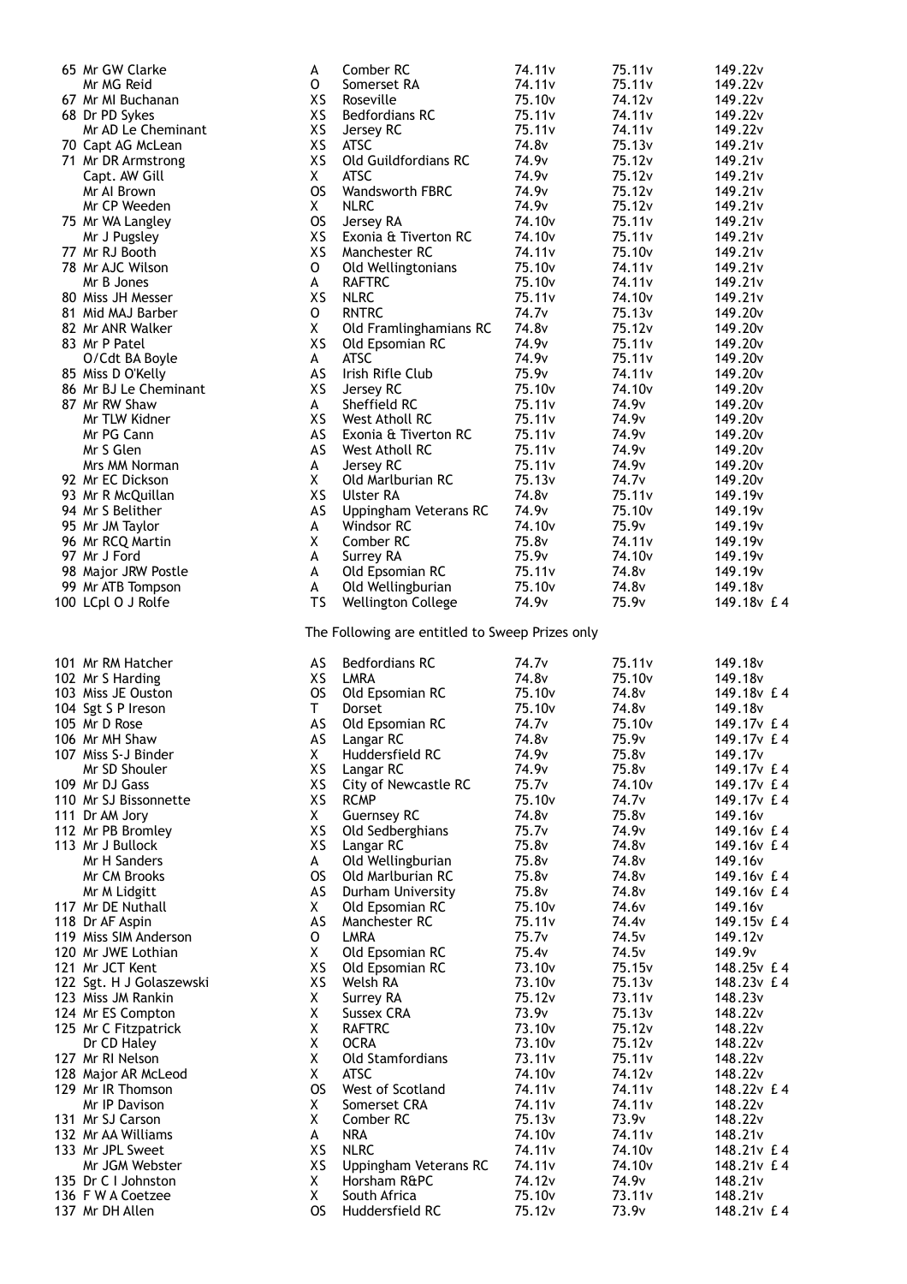| 65 Mr GW Clarke                            | A              | Comber RC                                                                | 74.11v                       | 75.11v                       | 149.22v                                    |
|--------------------------------------------|----------------|--------------------------------------------------------------------------|------------------------------|------------------------------|--------------------------------------------|
| Mr MG Reid                                 | o              | Somerset RA                                                              | 74.11v                       | 75.11v                       | 149.22v                                    |
| 67 Mr MI Buchanan                          | XS             | Roseville                                                                | 75.10 <sub>v</sub>           | 74.12v                       | 149.22v                                    |
| 68 Dr PD Sykes                             | XS             | <b>Bedfordians RC</b>                                                    | 75.11v                       | 74.11v                       | 149.22v                                    |
| Mr AD Le Cheminant                         | XS             | Jersey RC                                                                | 75.11v                       | 74.11v                       | 149.22v                                    |
| 70 Capt AG McLean                          | XS             | <b>ATSC</b>                                                              | 74.8 <sub>v</sub>            | 75.13v                       | 149.21v                                    |
| 71 Mr DR Armstrong                         | XS             | Old Guildfordians RC                                                     | 74.9v                        | 75.12v                       | 149.21v                                    |
| Capt. AW Gill                              | X              | <b>ATSC</b>                                                              | 74.9v                        | 75.12v                       | 149.21v                                    |
| Mr Al Brown                                | <b>OS</b>      | <b>Wandsworth FBRC</b>                                                   | 74.9 <sub>v</sub>            | 75.12v                       | 149.21v                                    |
| Mr CP Weeden                               | Χ              | <b>NLRC</b>                                                              | 74.9v                        | 75.12v                       | 149.21v                                    |
| 75 Mr WA Langley                           | <b>OS</b>      | Jersey RA                                                                | 74.10 <sub>v</sub>           | 75.11 <sub>v</sub>           | 149.21v                                    |
| Mr J Pugsley                               | XS             | Exonia & Tiverton RC                                                     | 74.10 <sub>v</sub>           | 75.11v                       | 149.21v                                    |
| 77 Mr RJ Booth                             | XS             | Manchester RC                                                            | 74.11v                       | 75.10 <sub>v</sub>           | 149.21v                                    |
| 78 Mr AJC Wilson                           | o              | Old Wellingtonians                                                       | 75.10v                       | 74.11v                       | 149.21v                                    |
| Mr B Jones                                 | A              | <b>RAFTRC</b>                                                            | 75.10 <sub>v</sub>           | 74.11v                       | 149.21v                                    |
| 80 Miss JH Messer                          | XS             | <b>NLRC</b>                                                              | 75.11v                       | 74.10 <sub>v</sub>           | 149.21v                                    |
| 81 Mid MAJ Barber                          | o              | <b>RNTRC</b>                                                             | 74.7 <sub>v</sub>            | 75.13v                       | 149.20 <sub>v</sub>                        |
| 82 Mr ANR Walker                           | X              | Old Framlinghamians RC                                                   | 74.8v<br>74.9v               | 75.12v                       | 149.20 <sub>v</sub>                        |
| 83 Mr P Patel                              | XS             | Old Epsomian RC<br><b>ATSC</b>                                           | 74.9v                        | 75.11v<br>75.11v             | 149.20 <sub>v</sub>                        |
| O/Cdt BA Boyle                             | A              | Irish Rifle Club                                                         | 75.9v                        |                              | 149.20v                                    |
| 85 Miss D O'Kelly<br>86 Mr BJ Le Cheminant | AS<br>XS       |                                                                          | 75.10 <sub>v</sub>           | 74.11v<br>74.10 <sub>v</sub> | 149.20 <sub>v</sub><br>149.20 <sub>v</sub> |
| 87 Mr RW Shaw                              | A              | Jersey RC<br>Sheffield RC                                                | 75.11v                       | 74.9v                        | 149.20v                                    |
| Mr TLW Kidner                              | XS             | West Atholl RC                                                           | 75.11v                       | 74.9v                        | 149.20 <sub>v</sub>                        |
| Mr PG Cann                                 | AS             | Exonia & Tiverton RC                                                     | 75.11v                       | 74.9v                        | 149.20 <sub>v</sub>                        |
| Mr S Glen                                  | AS             | West Atholl RC                                                           | 75.11v                       | 74.9v                        | 149.20v                                    |
| Mrs MM Norman                              | A              | Jersey RC                                                                | 75.11v                       | 74.9v                        | 149.20 <sub>v</sub>                        |
| 92 Mr EC Dickson                           | X              | Old Marlburian RC                                                        | 75.13v                       | 74.7 <sub>v</sub>            | 149.20 <sub>v</sub>                        |
| 93 Mr R McQuillan                          | XS             | Ulster RA                                                                | 74.8v                        | 75.11 <sub>v</sub>           | 149.19 <sub>v</sub>                        |
| 94 Mr S Belither                           | AS             | Uppingham Veterans RC                                                    | 74.9 <sub>v</sub>            | 75.10 <sub>v</sub>           | 149.19 <sub>v</sub>                        |
| 95 Mr JM Taylor                            | A              | Windsor RC                                                               | 74.10v                       | 75.9v                        | 149.19 <sub>v</sub>                        |
| 96 Mr RCQ Martin                           | Χ              | Comber RC                                                                | 75.8v                        | 74.11v                       | 149.19 <sub>v</sub>                        |
| 97 Mr J Ford                               | A              | Surrey RA                                                                | 75.9v                        | 74.10 <sub>v</sub>           | 149.19v                                    |
| 98 Major JRW Postle                        | A              | Old Epsomian RC                                                          | 75.11v                       | 74.8v                        | 149.19 <sub>v</sub>                        |
| 99 Mr ATB Tompson                          | A              | Old Wellingburian                                                        | 75.10 <sub>v</sub>           | 74.8v                        | 149.18 <sub>v</sub>                        |
| 100 LCpl O J Rolfe                         | <b>TS</b>      | Wellington College                                                       | 74.9 <sub>v</sub>            | 75.9v                        | 149.18v £4                                 |
|                                            |                |                                                                          |                              |                              |                                            |
| 101 Mr RM Hatcher                          | AS             | The Following are entitled to Sweep Prizes only<br><b>Bedfordians RC</b> | 74.7 <sub>v</sub>            | 75.11v                       | 149.18 <sub>v</sub>                        |
| 102 Mr S Harding                           | XS             | LMRA                                                                     | 74.8v                        | 75.10 <sub>v</sub>           | 149.18 <sub>v</sub>                        |
| 103 Miss JE Ouston                         | <b>OS</b>      | Old Epsomian RC                                                          | 75.10 <sub>v</sub>           | 74.8v                        | 149.18v £4                                 |
| 104 Sgt S P Ireson                         | T              | Dorset                                                                   | 75.10 <sub>v</sub>           | 74.8v                        | 149.18v                                    |
| 105 Mr D Rose                              | AS             | Old Epsomian RC                                                          | 74.7 <sub>v</sub>            | 75.10 <sub>v</sub>           | 149.17v £4                                 |
| 106 Mr MH Shaw                             | AS             | Langar RC                                                                | 74.8v                        | 75.9v                        | 149.17v £4                                 |
| 107 Miss S-J Binder                        | Χ              | Huddersfield RC                                                          | 74.9v                        | 75.8v                        | 149.17v                                    |
| Mr SD Shouler                              | XS             | Langar RC                                                                | 74.9v                        | 75.8v                        | 149.17v £4                                 |
| 109 Mr DJ Gass                             | XS             | City of Newcastle RC                                                     | 75.7v                        | 74.10 <sub>v</sub>           | 149.17v £4                                 |
| 110 Mr SJ Bissonnette                      | XS             | <b>RCMP</b>                                                              | 75.10v                       | 74.7v                        | 149.17v £4                                 |
| 111 Dr AM Jory                             | X.             | <b>Guernsey RC</b>                                                       | 74.8v                        | 75.8v                        | 149.16v                                    |
| 112 Mr PB Bromley                          | XS             | Old Sedberghians                                                         | 75.7v                        | 74.9v                        | 149.16v £4                                 |
| 113 Mr J Bullock                           | XS             | Langar RC                                                                | 75.8v                        | 74.8v                        | 149.16v £4                                 |
| Mr H Sanders                               | A              | Old Wellingburian                                                        | 75.8v                        | 74.8v                        | 149.16v                                    |
| Mr CM Brooks                               | <b>OS</b>      | Old Marlburian RC                                                        | 75.8v                        | 74.8v                        | 149.16y £4                                 |
| Mr M Lidgitt                               | AS             | Durham University                                                        | 75.8v                        | 74.8v                        | 149.16v £4                                 |
| 117 Mr DE Nuthall                          | X.             | Old Epsomian RC                                                          | 75.10 <sub>v</sub>           | 74.6v                        | 149.16v                                    |
| 118 Dr AF Aspin                            | AS             | Manchester RC                                                            | 75.11v                       | 74.4 <sub>v</sub>            | 149.15y £4                                 |
| 119 Miss SIM Anderson                      | 0              | <b>LMRA</b>                                                              | 75.7v                        | 74.5v                        | 149.12 <sub>v</sub>                        |
| 120 Mr JWE Lothian                         | X              | Old Epsomian RC                                                          | 75.4v                        | 74.5v                        | 149.9v                                     |
| 121 Mr JCT Kent                            | XS             | Old Epsomian RC                                                          | 73.10 <sub>v</sub>           | 75.15v                       | 148.25v £4                                 |
| 122 Sgt. H J Golaszewski                   | XS             | Welsh RA                                                                 | 73.10v                       | 75.13v                       | 148.23v £4                                 |
| 123 Miss JM Rankin                         | X              | Surrey RA                                                                | 75.12v                       | 73.11 <sub>v</sub>           | 148.23v                                    |
| 124 Mr ES Compton                          | Χ              | Sussex CRA                                                               | 73.9v                        | 75.13v                       | 148.22v                                    |
| 125 Mr C Fitzpatrick<br>Dr CD Haley        | Χ<br>Χ         | <b>RAFTRC</b><br><b>OCRA</b>                                             | 73.10v<br>73.10 <sub>v</sub> | 75.12v<br>75.12v             | 148.22v<br>148.22v                         |
| 127 Mr RI Nelson                           | Χ              | Old Stamfordians                                                         | 73.11 <sub>v</sub>           | 75.11 <sub>v</sub>           | 148.22v                                    |
| 128 Major AR McLeod                        | Χ              | <b>ATSC</b>                                                              | 74.10v                       | 74.12v                       | 148.22v                                    |
| 129 Mr IR Thomson                          | <b>OS</b>      | West of Scotland                                                         | 74.11 <sub>v</sub>           | 74.11 <sub>v</sub>           | 148.22v £4                                 |
| Mr IP Davison                              | X              | Somerset CRA                                                             | 74.11 <sub>v</sub>           | 74.11 <sub>v</sub>           | 148.22v                                    |
| 131 Mr SJ Carson                           | X              | Comber RC                                                                | 75.13v                       | 73.9v                        | 148.22v                                    |
| 132 Mr AA Williams                         | A              | <b>NRA</b>                                                               | 74.10 <sub>v</sub>           | 74.11v                       | 148.21v                                    |
| 133 Mr JPL Sweet                           | XS             | <b>NLRC</b>                                                              | 74.11v                       | 74.10 <sub>v</sub>           | 148.21v £4                                 |
| Mr JGM Webster                             | XS             | Uppingham Veterans RC                                                    | 74.11 <sub>v</sub>           | 74.10 <sub>v</sub>           | 148.21v £4                                 |
| 135 Dr C I Johnston                        | X              | Horsham R&PC                                                             | 74.12v                       | 74.9v                        | 148.21v                                    |
| 136 F W A Coetzee<br>137 Mr DH Allen       | X<br><b>OS</b> | South Africa<br>Huddersfield RC                                          | 75.10 <sub>v</sub><br>75.12v | 73.11 <sub>v</sub><br>73.9v  | 148.21v<br>148.21v £4                      |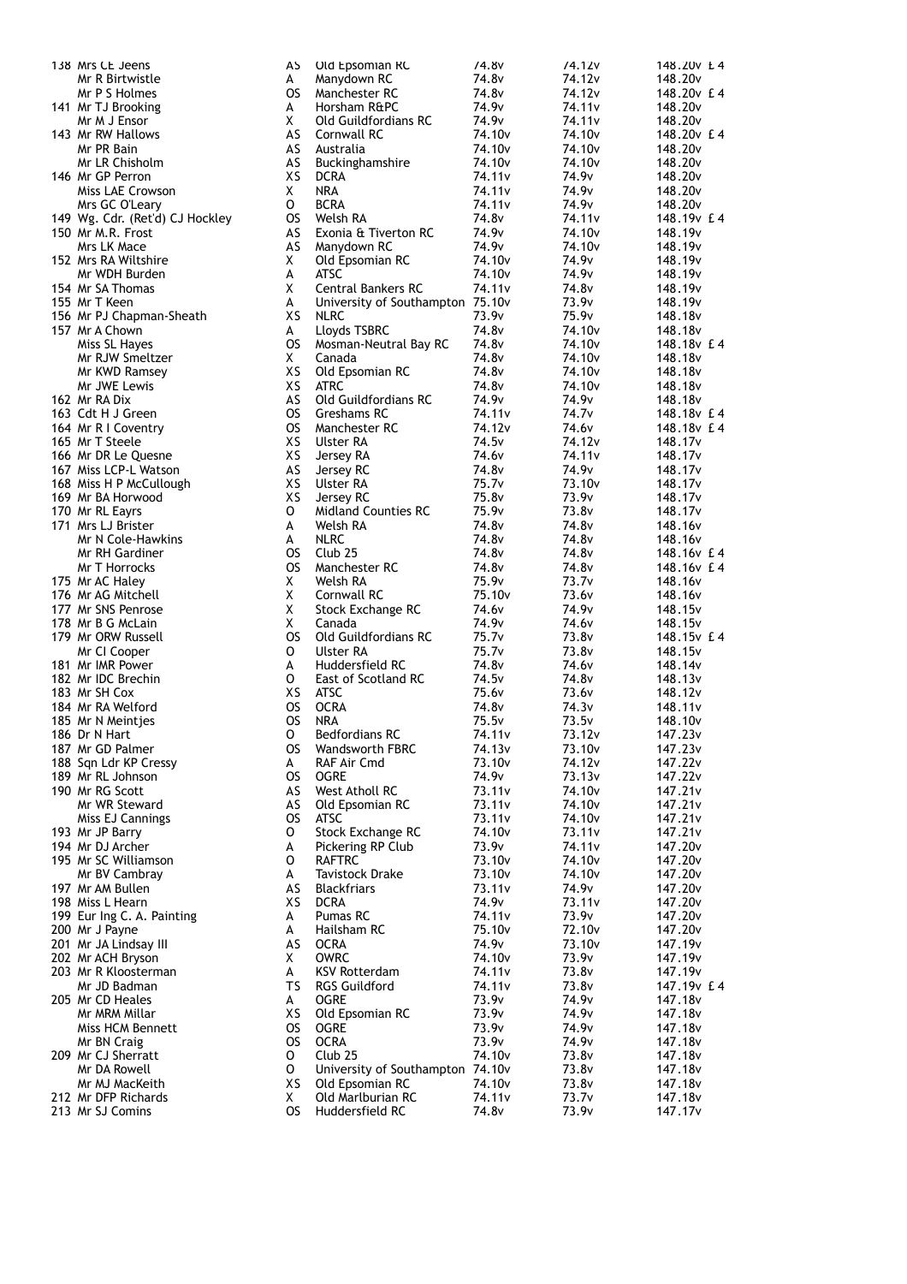| 138 Mrs CE Jeens                | AS        | Old Epsomian RC                  | 74.8 <sub>v</sub>  | 74.12v             | 148.20v £4          |
|---------------------------------|-----------|----------------------------------|--------------------|--------------------|---------------------|
| Mr R Birtwistle                 | A         | Manydown RC                      | 74.8v              | 74.12v             | 148.20 <sub>v</sub> |
| Mr P S Holmes                   | OS i      | Manchester RC                    | 74.8 <sub>v</sub>  | 74.12 <sub>v</sub> | 148.20v £4          |
| 141 Mr TJ Brooking              | A         | Horsham R&PC                     | 74.9v              | 74.11v             | 148.20 <sub>v</sub> |
|                                 | X         |                                  | 74.9v              |                    |                     |
| Mr M J Ensor                    |           | Old Guildfordians RC             |                    | 74.11v             | 148.20 <sub>v</sub> |
| 143 Mr RW Hallows               | AS        | Cornwall RC                      | 74.10 <sub>v</sub> | 74.10 <sub>v</sub> | 148.20v £4          |
| Mr PR Bain                      | AS        | Australia                        | 74.10 <sub>v</sub> | 74.10 <sub>v</sub> | 148.20 <sub>v</sub> |
| Mr LR Chisholm                  | AS        | <b>Buckinghamshire</b>           | 74.10 <sub>v</sub> | 74.10 <sub>v</sub> | 148.20 <sub>v</sub> |
| 146 Mr GP Perron                | XS        | <b>DCRA</b>                      | 74.11 <sub>v</sub> | 74.9v              | 148.20 <sub>v</sub> |
| Miss LAE Crowson                | X.        | NRA                              | 74.11 <sub>v</sub> | 74.9v              | 148.20v             |
| Mrs GC O'Leary                  | 0         | <b>BCRA</b>                      | 74.11 <sub>v</sub> | 74.9v              | 148.20 <sub>v</sub> |
|                                 |           |                                  |                    |                    |                     |
| 149 Wg. Cdr. (Ret'd) CJ Hockley | os        | Welsh RA                         | 74.8v              | 74.11 <sub>v</sub> | 148.19v £4          |
| 150 Mr M.R. Frost               | AS        | Exonia & Tiverton RC             | 74.9v              | 74.10 <sub>v</sub> | 148.19 <sub>v</sub> |
| Mrs LK Mace                     | AS        | Manydown RC                      | 74.9v              | 74.10 <sub>v</sub> | 148.19 <sub>v</sub> |
| 152 Mrs RA Wiltshire            | X         | Old Epsomian RC                  | 74.10 <sub>v</sub> | 74.9v              | 148.19 <sub>v</sub> |
| Mr WDH Burden                   | A         | <b>ATSC</b>                      | 74.10 <sub>v</sub> | 74.9v              | 148.19v             |
| 154 Mr SA Thomas                | X         | <b>Central Bankers RC</b>        | 74.11 <sub>v</sub> | 74.8v              | 148.19 <sub>v</sub> |
| 155 Mr T Keen                   | A         | University of Southampton 75.10v |                    | 73.9v              |                     |
|                                 |           |                                  |                    |                    | 148.19 <sub>v</sub> |
| 156 Mr PJ Chapman-Sheath        | XS        | <b>NLRC</b>                      | 73.9v              | 75.9v              | 148.18 <sub>v</sub> |
| 157 Mr A Chown                  | A         | Lloyds TSBRC                     | 74.8 <sub>v</sub>  | 74.10 <sub>v</sub> | 148.18 <sub>v</sub> |
| Miss SL Hayes                   | OS.       | Mosman-Neutral Bay RC            | 74.8 <sub>v</sub>  | 74.10 <sub>v</sub> | 148.18v £4          |
| Mr RJW Smeltzer                 | X.        | Canada                           | 74.8 <sub>v</sub>  | 74.10 <sub>v</sub> | 148.18 <sub>v</sub> |
| Mr KWD Ramsey                   | XS        | Old Epsomian RC                  | 74.8 <sub>v</sub>  | 74.10 <sub>v</sub> | 148.18v             |
| Mr JWE Lewis                    | XS        | <b>ATRC</b>                      | 74.8v              | 74.10 <sub>v</sub> | 148.18v             |
|                                 |           |                                  |                    |                    |                     |
| 162 Mr RA Dix                   | AS        | Old Guildfordians RC             | 74.9v              | 74.9 <sub>v</sub>  | 148.18 <sub>v</sub> |
| 163 Cdt H J Green               | <b>OS</b> | Greshams RC                      | 74.11 <sub>v</sub> | 74.7 <sub>v</sub>  | 148.18v £4          |
| 164 Mr R I Coventry             | <b>OS</b> | Manchester RC                    | 74.12 <sub>v</sub> | 74.6 <sub>v</sub>  | 148.18v £4          |
| 165 Mr T Steele                 | XS        | Ulster RA                        | 74.5 <sub>v</sub>  | 74.12v             | 148.17 <sub>v</sub> |
| 166 Mr DR Le Quesne             | ХS        | Jersey RA                        | 74.6v              | 74.11 <sub>v</sub> | 148.17 <sub>v</sub> |
| 167 Miss LCP-L Watson           | AS        | Jersey RC                        | 74.8v              | 74.9v              | 148.17 <sub>v</sub> |
|                                 |           |                                  |                    |                    |                     |
| 168 Miss H P McCullough         | ХS        | Ulster RA                        | 75.7 <sub>v</sub>  | 73.10 <sub>v</sub> | 148.17 <sub>v</sub> |
| 169 Mr BA Horwood               | XS        | Jersey RC                        | 75.8v              | 73.9v              | 148.17v             |
| 170 Mr RL Eayrs                 | 0         | <b>Midland Counties RC</b>       | 75.9v              | 73.8v              | 148.17v             |
| 171 Mrs LJ Brister              | A         | Welsh RA                         | 74.8v              | 74.8v              | 148.16 <sub>v</sub> |
| Mr N Cole-Hawkins               | A         | <b>NLRC</b>                      | 74.8v              | 74.8v              | 148.16v             |
| Mr RH Gardiner                  | OS.       | Club <sub>25</sub>               | 74.8v              | 74.8v              | 148.16v £4          |
| Mr T Horrocks                   | OS.       | Manchester RC                    | 74.8v              | 74.8v              | 148.16y £4          |
|                                 |           |                                  |                    |                    |                     |
| 175 Mr AC Haley                 | Χ         | Welsh RA                         | 75.9v              | 73.7v              | 148.16 <sub>v</sub> |
| 176 Mr AG Mitchell              | X         | Cornwall RC                      | 75.10 <sub>v</sub> | 73.6v              | 148.16 <sub>v</sub> |
| 177 Mr SNS Penrose              | X         | Stock Exchange RC                | 74.6v              | 74.9v              | 148.15 <sub>v</sub> |
| 178 Mr B G McLain               | Χ         | Canada                           | 74.9v              | 74.6 <sub>v</sub>  | 148.15 <sub>v</sub> |
| 179 Mr ORW Russell              | <b>OS</b> | Old Guildfordians RC             | 75.7v              | 73.8v              | 148.15v £4          |
| Mr CI Cooper                    | 0         | <b>Ulster RA</b>                 | 75.7 <sub>v</sub>  | 73.8v              | 148.15 <sub>v</sub> |
| 181 Mr IMR Power                | A         | Huddersfield RC                  | 74.8 <sub>v</sub>  | 74.6v              | 148.14v             |
|                                 |           |                                  |                    |                    |                     |
| 182 Mr IDC Brechin              | 0         | East of Scotland RC              | 74.5 <sub>v</sub>  | 74.8v              | 148.13v             |
| 183 Mr SH Cox                   | ХS        | ATSC                             | 75.6 <sub>v</sub>  | 73.6v              | 148.12v             |
| 184 Mr RA Welford               | os        | <b>OCRA</b>                      | 74.8v              | 74.3v              | 148.11v             |
| 185 Mr N Meintjes               | os        | <b>NRA</b>                       | 75.5v              | 73.5v              | 148.10 <sub>v</sub> |
| 186 Dr N Hart                   | O         | Bedfordians RC                   | 74.11v             | 73.12v             | 147.23v             |
| 187 Mr GD Palmer                | os        | Wandsworth FBRC                  | 74.13v             | 73.10v             | 147.23v             |
|                                 | A         |                                  | 73.10 <sub>v</sub> | 74.12v             | 147.22v             |
| 188 Sqn Ldr KP Cressy           |           | RAF Air Cmd                      |                    |                    |                     |
| 189 Mr RL Johnson               | OS.       | <b>OGRE</b>                      | 74.9v              | 73.13v             | 147.22v             |
| 190 Mr RG Scott                 | AS        | West Atholl RC                   | 73.11v             | 74.10 <sub>v</sub> | 147.21v             |
| Mr WR Steward                   | AS        | Old Epsomian RC                  | 73.11v             | 74.10 <sub>v</sub> | 147.21v             |
| Miss EJ Cannings                | <b>OS</b> | ATSC                             | 73.11v             | 74.10 <sub>v</sub> | 147.21v             |
| 193 Mr JP Barry                 | 0         | Stock Exchange RC                | 74.10 <sub>v</sub> | 73.11v             | 147.21v             |
| 194 Mr DJ Archer                | A         | Pickering RP Club                | 73.9v              | 74.11v             | 147.20 <sub>v</sub> |
| 195 Mr SC Williamson            | 0         | <b>RAFTRC</b>                    | 73.10 <sub>v</sub> | 74.10 <sub>v</sub> | 147.20 <sub>v</sub> |
|                                 |           |                                  |                    |                    |                     |
| Mr BV Cambray                   | A         | <b>Tavistock Drake</b>           | 73.10 <sub>v</sub> | 74.10v             | 147.20 <sub>v</sub> |
| 197 Mr AM Bullen                | AS        | <b>Blackfriars</b>               | 73.11v             | 74.9v              | 147.20v             |
| 198 Miss L Hearn                | ХS        | <b>DCRA</b>                      | 74.9v              | 73.11v             | 147.20 <sub>v</sub> |
| 199 Eur Ing C. A. Painting      | A         | Pumas RC                         | 74.11 <sub>v</sub> | 73.9v              | 147.20v             |
| 200 Mr J Payne                  | A         | Hailsham RC                      | 75.10 <sub>v</sub> | 72.10 <sub>v</sub> | 147.20 <sub>v</sub> |
| 201 Mr JA Lindsay III           | AS        | <b>OCRA</b>                      | 74.9 <sub>v</sub>  | 73.10 <sub>v</sub> | 147.19 <sub>v</sub> |
| 202 Mr ACH Bryson               | X.        | <b>OWRC</b>                      | 74.10 <sub>v</sub> | 73.9v              | 147.19 <sub>v</sub> |
|                                 |           |                                  |                    |                    |                     |
| 203 Mr R Kloosterman            | A         | <b>KSV Rotterdam</b>             | 74.11v             | 73.8v              | 147.19 <sub>v</sub> |
| Mr JD Badman                    | TS        | <b>RGS Guildford</b>             | 74.11 <sub>v</sub> | 73.8v              | 147.19v £4          |
| 205 Mr CD Heales                | A         | OGRE                             | 73.9v              | 74.9v              | 147.18v             |
| Mr MRM Millar                   | XS        | Old Epsomian RC                  | 73.9v              | 74.9v              | 147.18v             |
| Miss HCM Bennett                | OS.       | <b>OGRE</b>                      | 73.9v              | 74.9v              | 147.18v             |
| Mr BN Craig                     | os        | <b>OCRA</b>                      | 73.9v              | 74.9v              | 147.18v             |
| 209 Mr CJ Sherratt              | 0         | Club <sub>25</sub>               | 74.10 <sub>v</sub> | 73.8v              | 147.18 <sub>v</sub> |
|                                 |           |                                  |                    |                    |                     |
| Mr DA Rowell                    | 0         | University of Southampton 74.10v |                    | 73.8v              | 147.18v             |
| Mr MJ MacKeith                  | XS        | Old Epsomian RC                  | 74.10 <sub>v</sub> | 73.8v              | 147.18v             |
| 212 Mr DFP Richards             | X         | Old Marlburian RC                | 74.11 <sub>v</sub> | 73.7 <sub>v</sub>  | 147.18v             |
| 213 Mr SJ Comins                | OS.       | Huddersfield RC                  | 74.8v              | 73.9v              | 147.17 <sub>v</sub> |